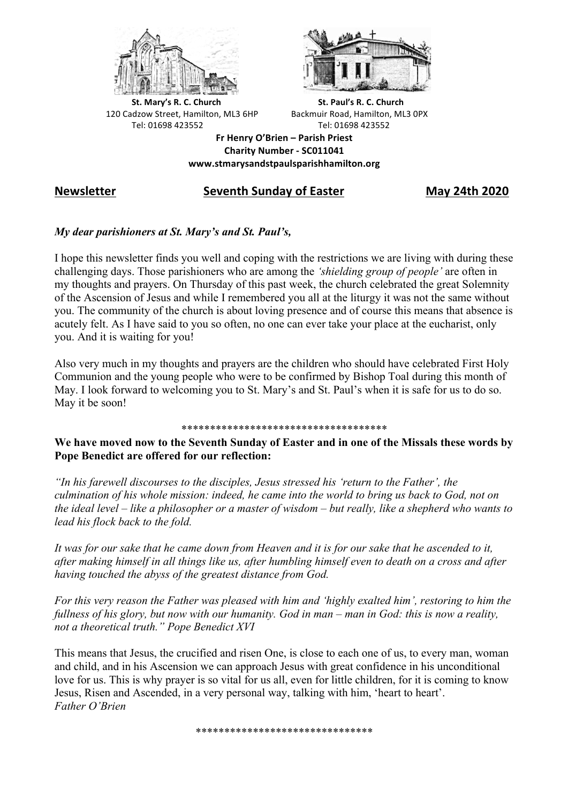



**St.** Mary's R. C. Church St. Paul's R. C. Church 120 Cadzow Street, Hamilton, ML3 6HP Backmuir Road, Hamilton, ML3 0PX Tel: 01698 423552 Tel: 01698 423552

**Fr Henry O'Brien – Parish Priest Charity Number - SC011041 www.stmarysandstpaulsparishhamilton.org**

# **Newsletter** Seventh Sunday of Easter May 24th 2020

## *My dear parishioners at St. Mary's and St. Paul's,*

I hope this newsletter finds you well and coping with the restrictions we are living with during these challenging days. Those parishioners who are among the *'shielding group of people'* are often in my thoughts and prayers. On Thursday of this past week, the church celebrated the great Solemnity of the Ascension of Jesus and while I remembered you all at the liturgy it was not the same without you. The community of the church is about loving presence and of course this means that absence is acutely felt. As I have said to you so often, no one can ever take your place at the eucharist, only you. And it is waiting for you!

Also very much in my thoughts and prayers are the children who should have celebrated First Holy Communion and the young people who were to be confirmed by Bishop Toal during this month of May. I look forward to welcoming you to St. Mary's and St. Paul's when it is safe for us to do so. May it be soon!

#### \*\*\*\*\*\*\*\*\*\*\*\*\*\*\*\*\*\*\*\*\*\*\*\*\*\*\*\*\*\*\*\*\*\*\*\*

**We have moved now to the Seventh Sunday of Easter and in one of the Missals these words by Pope Benedict are offered for our reflection:**

*"In his farewell discourses to the disciples, Jesus stressed his 'return to the Father', the culmination of his whole mission: indeed, he came into the world to bring us back to God, not on the ideal level – like a philosopher or a master of wisdom – but really, like a shepherd who wants to lead his flock back to the fold.*

*It was for our sake that he came down from Heaven and it is for our sake that he ascended to it, after making himself in all things like us, after humbling himself even to death on a cross and after having touched the abyss of the greatest distance from God.*

*For this very reason the Father was pleased with him and 'highly exalted him', restoring to him the fullness of his glory, but now with our humanity. God in man – man in God: this is now a reality, not a theoretical truth." Pope Benedict XVI*

This means that Jesus, the crucified and risen One, is close to each one of us, to every man, woman and child, and in his Ascension we can approach Jesus with great confidence in his unconditional love for us. This is why prayer is so vital for us all, even for little children, for it is coming to know Jesus, Risen and Ascended, in a very personal way, talking with him, 'heart to heart'. *Father O'Brien*

\*\*\*\*\*\*\*\*\*\*\*\*\*\*\*\*\*\*\*\*\*\*\*\*\*\*\*\*\*\*\*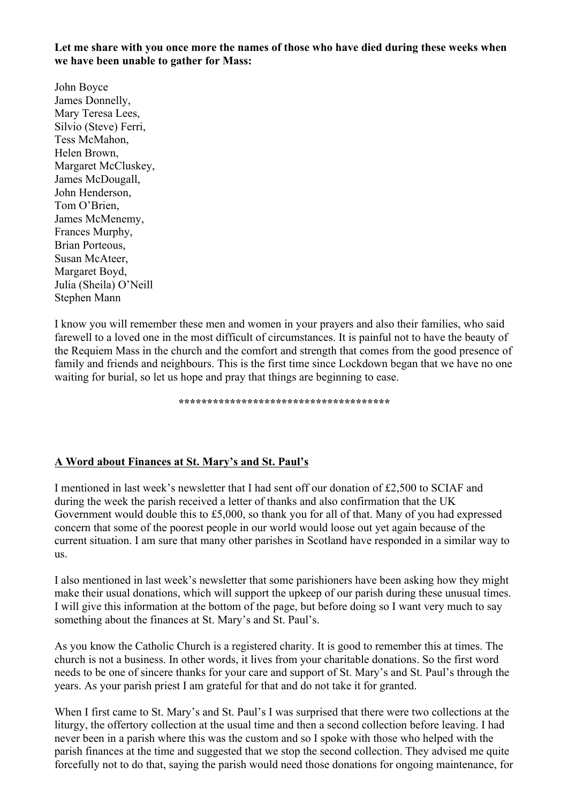**Let me share with you once more the names of those who have died during these weeks when we have been unable to gather for Mass:**

John Boyce James Donnelly, Mary Teresa Lees, Silvio (Steve) Ferri, Tess McMahon, Helen Brown, Margaret McCluskey, James McDougall, John Henderson, Tom O'Brien, James McMenemy, Frances Murphy, Brian Porteous, Susan McAteer, Margaret Boyd, Julia (Sheila) O'Neill Stephen Mann

I know you will remember these men and women in your prayers and also their families, who said farewell to a loved one in the most difficult of circumstances. It is painful not to have the beauty of the Requiem Mass in the church and the comfort and strength that comes from the good presence of family and friends and neighbours. This is the first time since Lockdown began that we have no one waiting for burial, so let us hope and pray that things are beginning to ease.

**\*\*\*\*\*\*\*\*\*\*\*\*\*\*\*\*\*\*\*\*\*\*\*\*\*\*\*\*\*\*\*\*\*\*\*\*\***

## **A Word about Finances at St. Mary's and St. Paul's**

I mentioned in last week's newsletter that I had sent off our donation of £2,500 to SCIAF and during the week the parish received a letter of thanks and also confirmation that the UK Government would double this to £5,000, so thank you for all of that. Many of you had expressed concern that some of the poorest people in our world would loose out yet again because of the current situation. I am sure that many other parishes in Scotland have responded in a similar way to us.

I also mentioned in last week's newsletter that some parishioners have been asking how they might make their usual donations, which will support the upkeep of our parish during these unusual times. I will give this information at the bottom of the page, but before doing so I want very much to say something about the finances at St. Mary's and St. Paul's.

As you know the Catholic Church is a registered charity. It is good to remember this at times. The church is not a business. In other words, it lives from your charitable donations. So the first word needs to be one of sincere thanks for your care and support of St. Mary's and St. Paul's through the years. As your parish priest I am grateful for that and do not take it for granted.

When I first came to St. Mary's and St. Paul's I was surprised that there were two collections at the liturgy, the offertory collection at the usual time and then a second collection before leaving. I had never been in a parish where this was the custom and so I spoke with those who helped with the parish finances at the time and suggested that we stop the second collection. They advised me quite forcefully not to do that, saying the parish would need those donations for ongoing maintenance, for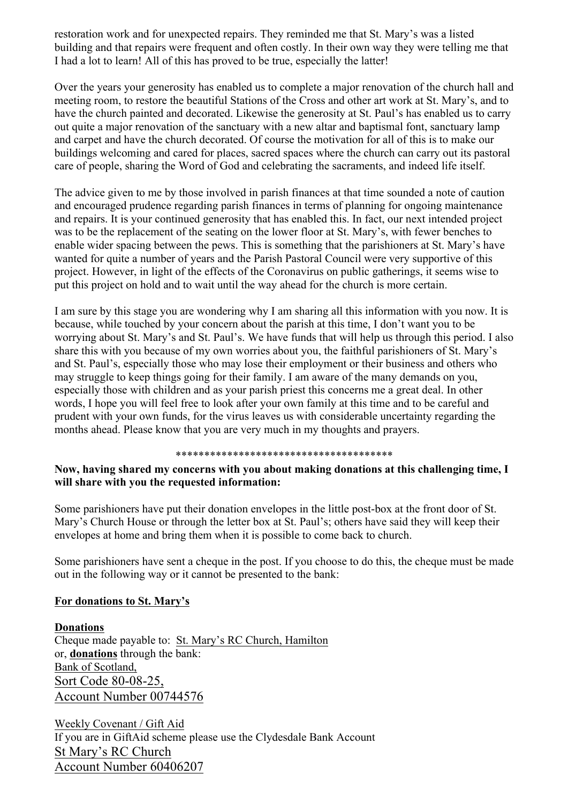restoration work and for unexpected repairs. They reminded me that St. Mary's was a listed building and that repairs were frequent and often costly. In their own way they were telling me that I had a lot to learn! All of this has proved to be true, especially the latter!

Over the years your generosity has enabled us to complete a major renovation of the church hall and meeting room, to restore the beautiful Stations of the Cross and other art work at St. Mary's, and to have the church painted and decorated. Likewise the generosity at St. Paul's has enabled us to carry out quite a major renovation of the sanctuary with a new altar and baptismal font, sanctuary lamp and carpet and have the church decorated. Of course the motivation for all of this is to make our buildings welcoming and cared for places, sacred spaces where the church can carry out its pastoral care of people, sharing the Word of God and celebrating the sacraments, and indeed life itself.

The advice given to me by those involved in parish finances at that time sounded a note of caution and encouraged prudence regarding parish finances in terms of planning for ongoing maintenance and repairs. It is your continued generosity that has enabled this. In fact, our next intended project was to be the replacement of the seating on the lower floor at St. Mary's, with fewer benches to enable wider spacing between the pews. This is something that the parishioners at St. Mary's have wanted for quite a number of years and the Parish Pastoral Council were very supportive of this project. However, in light of the effects of the Coronavirus on public gatherings, it seems wise to put this project on hold and to wait until the way ahead for the church is more certain.

I am sure by this stage you are wondering why I am sharing all this information with you now. It is because, while touched by your concern about the parish at this time, I don't want you to be worrying about St. Mary's and St. Paul's. We have funds that will help us through this period. I also share this with you because of my own worries about you, the faithful parishioners of St. Mary's and St. Paul's, especially those who may lose their employment or their business and others who may struggle to keep things going for their family. I am aware of the many demands on you, especially those with children and as your parish priest this concerns me a great deal. In other words, I hope you will feel free to look after your own family at this time and to be careful and prudent with your own funds, for the virus leaves us with considerable uncertainty regarding the months ahead. Please know that you are very much in my thoughts and prayers.

#### \*\*\*\*\*\*\*\*\*\*\*\*\*\*\*\*\*\*\*\*\*\*\*\*\*\*\*\*\*\*\*\*\*\*\*\*\*\*

## **Now, having shared my concerns with you about making donations at this challenging time, I will share with you the requested information:**

Some parishioners have put their donation envelopes in the little post-box at the front door of St. Mary's Church House or through the letter box at St. Paul's; others have said they will keep their envelopes at home and bring them when it is possible to come back to church.

Some parishioners have sent a cheque in the post. If you choose to do this, the cheque must be made out in the following way or it cannot be presented to the bank:

## **For donations to St. Mary's**

**Donations** Cheque made payable to: St. Mary's RC Church, Hamilton or, **donations** through the bank: Bank of Scotland, Sort Code 80-08-25, Account Number 00744576

Weekly Covenant / Gift Aid If you are in GiftAid scheme please use the Clydesdale Bank Account St Mary's RC Church Account Number 60406207